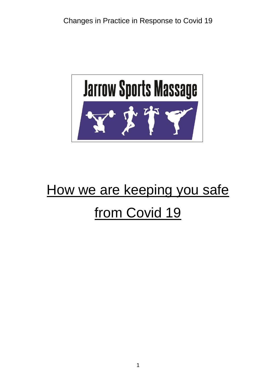

# How we are keeping you safe from Covid 19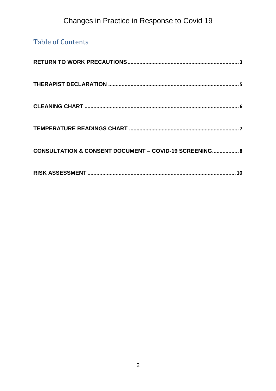# **Table of Contents**

| CONSULTATION & CONSENT DOCUMENT - COVID-19 SCREENING 8 |    |
|--------------------------------------------------------|----|
|                                                        | 10 |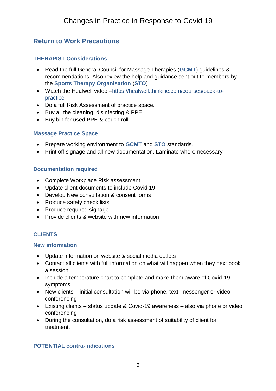## <span id="page-2-0"></span>**Return to Work Precautions**

## **THERAPIST Considerations**

- Read the full General Council for Massage Therapies (**GCMT**) guidelines & recommendations. Also review the help and guidance sent out to members by the **Sports Therapy Organisation** (**STO**)
- Watch the Healwell video [–https://healwell.thinkific.com/courses/back-to](https://healwell.thinkific.com/courses/back-to-practice)[practice](https://healwell.thinkific.com/courses/back-to-practice)
- Do a full Risk Assessment of practice space.
- Buy all the cleaning, disinfecting & PPE.
- Buy bin for used PPE & couch roll

## **Massage Practice Space**

- Prepare working environment to **GCMT** and **STO** standards.
- Print off signage and all new documentation. Laminate where necessary.

#### **Documentation required**

- Complete Workplace Risk assessment
- Update client documents to include Covid 19
- Develop New consultation & consent forms
- Produce safety check lists
- Produce required signage
- Provide clients & website with new information

## **CLIENTS**

#### **New information**

- Update information on website & social media outlets
- Contact all clients with full information on what will happen when they next book a session.
- Include a temperature chart to complete and make them aware of Covid-19 symptoms
- New clients initial consultation will be via phone, text, messenger or video conferencing
- Existing clients status update & Covid-19 awareness also via phone or video conferencing
- During the consultation, do a risk assessment of suitability of client for treatment.

## **POTENTIAL contra-indications**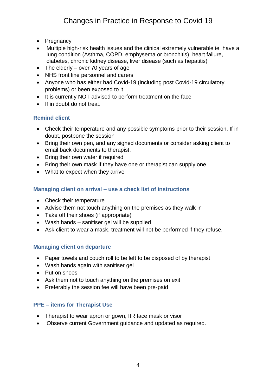- Pregnancy
- Multiple high-risk health issues and the clinical extremely vulnerable ie. have a lung condition (Asthma, COPD, emphysema or bronchitis), heart failure, diabetes, chronic kidney disease, liver disease (such as hepatitis)
- $\bullet$  The elderly over 70 years of age
- NHS front line personnel and carers
- Anyone who has either had Covid-19 (including post Covid-19 circulatory problems) or been exposed to it
- It is currently NOT advised to perform treatment on the face
- If in doubt do not treat.

## **Remind client**

- Check their temperature and any possible symptoms prior to their session. If in doubt, postpone the session
- Bring their own pen, and any signed documents or consider asking client to email back documents to therapist.
- Bring their own water if required
- Bring their own mask if they have one or therapist can supply one
- What to expect when they arrive

## **Managing client on arrival – use a check list of instructions**

- Check their temperature
- Advise them not touch anything on the premises as they walk in
- Take off their shoes (if appropriate)
- Wash hands sanitiser gel will be supplied
- Ask client to wear a mask, treatment will not be performed if they refuse.

## **Managing client on departure**

- Paper towels and couch roll to be left to be disposed of by therapist
- Wash hands again with sanitiser gel
- Put on shoes
- Ask them not to touch anything on the premises on exit
- Preferably the session fee will have been pre-paid

## **PPE – items for Therapist Use**

- Therapist to wear apron or gown, IIR face mask or visor
- Observe current Government guidance and updated as required.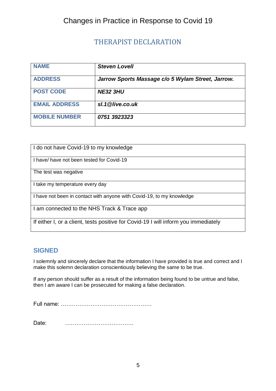## THERAPIST DECLARATION

<span id="page-4-0"></span>

| <b>NAME</b>          | <b>Steven Lovell</b>                              |
|----------------------|---------------------------------------------------|
| <b>ADDRESS</b>       | Jarrow Sports Massage c/o 5 Wylam Street, Jarrow. |
| <b>POST CODE</b>     | <b>NE32 3HU</b>                                   |
| <b>EMAIL ADDRESS</b> | sl.1@live.co.uk                                   |
| <b>MOBILE NUMBER</b> | 0751 3923323                                      |

| I do not have Covid-19 to my knowledge                                              |
|-------------------------------------------------------------------------------------|
| I have/ have not been tested for Covid-19                                           |
| The test was negative                                                               |
| I take my temperature every day                                                     |
| I have not been in contact with anyone with Covid-19, to my knowledge               |
| I am connected to the NHS Track & Trace app                                         |
| If either I, or a client, tests positive for Covid-19 I will inform you immediately |

## **SIGNED**

I solemnly and sincerely declare that the information I have provided is true and correct and I make this solemn declaration conscientiously believing the same to be true.

If any person should suffer as a result of the information being found to be untrue and false, then I am aware I can be prosecuted for making a false declaration.

Full name: ………………………………………….

Date: ……………………………….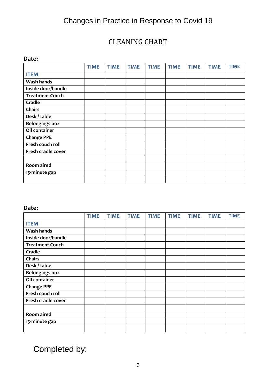## CLEANING CHART

## <span id="page-5-0"></span>**Date:**

|                        | <b>TIME</b> | <b>TIME</b> | <b>TIME</b> | <b>TIME</b> | <b>TIME</b> | <b>TIME</b> | <b>TIME</b> | <b>TIME</b> |
|------------------------|-------------|-------------|-------------|-------------|-------------|-------------|-------------|-------------|
| <b>ITEM</b>            |             |             |             |             |             |             |             |             |
| Wash hands             |             |             |             |             |             |             |             |             |
| Inside door/handle     |             |             |             |             |             |             |             |             |
| <b>Treatment Couch</b> |             |             |             |             |             |             |             |             |
| Cradle                 |             |             |             |             |             |             |             |             |
| <b>Chairs</b>          |             |             |             |             |             |             |             |             |
| Desk / table           |             |             |             |             |             |             |             |             |
| <b>Belongings box</b>  |             |             |             |             |             |             |             |             |
| Oil container          |             |             |             |             |             |             |             |             |
| <b>Change PPE</b>      |             |             |             |             |             |             |             |             |
| Fresh couch roll       |             |             |             |             |             |             |             |             |
| Fresh cradle cover     |             |             |             |             |             |             |             |             |
|                        |             |             |             |             |             |             |             |             |
| Room aired             |             |             |             |             |             |             |             |             |
| 15-minute gap          |             |             |             |             |             |             |             |             |
|                        |             |             |             |             |             |             |             |             |

#### **Date:**

|                        | <b>TIME</b> | <b>TIME</b> | <b>TIME</b> | <b>TIME</b> | <b>TIME</b> | <b>TIME</b> | <b>TIME</b> | <b>TIME</b> |
|------------------------|-------------|-------------|-------------|-------------|-------------|-------------|-------------|-------------|
| <b>ITEM</b>            |             |             |             |             |             |             |             |             |
| Wash hands             |             |             |             |             |             |             |             |             |
| Inside door/handle     |             |             |             |             |             |             |             |             |
| <b>Treatment Couch</b> |             |             |             |             |             |             |             |             |
| Cradle                 |             |             |             |             |             |             |             |             |
| <b>Chairs</b>          |             |             |             |             |             |             |             |             |
| Desk / table           |             |             |             |             |             |             |             |             |
| <b>Belongings box</b>  |             |             |             |             |             |             |             |             |
| Oil container          |             |             |             |             |             |             |             |             |
| <b>Change PPE</b>      |             |             |             |             |             |             |             |             |
| Fresh couch roll       |             |             |             |             |             |             |             |             |
| Fresh cradle cover     |             |             |             |             |             |             |             |             |
|                        |             |             |             |             |             |             |             |             |
| Room aired             |             |             |             |             |             |             |             |             |
| 15-minute gap          |             |             |             |             |             |             |             |             |
|                        |             |             |             |             |             |             |             |             |

# Completed by: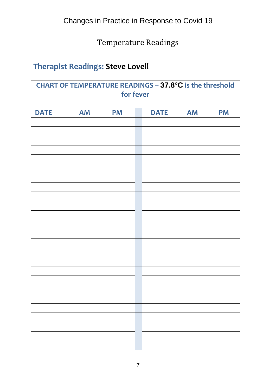# Temperature Readings

<span id="page-6-0"></span>

| <b>Therapist Readings: Steve Lovell</b>                                     |           |           |  |             |           |           |  |
|-----------------------------------------------------------------------------|-----------|-----------|--|-------------|-----------|-----------|--|
| <b>CHART OF TEMPERATURE READINGS - 37.8°C is the threshold</b><br>for fever |           |           |  |             |           |           |  |
| <b>DATE</b>                                                                 | <b>AM</b> | <b>PM</b> |  | <b>DATE</b> | <b>AM</b> | <b>PM</b> |  |
|                                                                             |           |           |  |             |           |           |  |
|                                                                             |           |           |  |             |           |           |  |
|                                                                             |           |           |  |             |           |           |  |
|                                                                             |           |           |  |             |           |           |  |
|                                                                             |           |           |  |             |           |           |  |
|                                                                             |           |           |  |             |           |           |  |
|                                                                             |           |           |  |             |           |           |  |
|                                                                             |           |           |  |             |           |           |  |
|                                                                             |           |           |  |             |           |           |  |
|                                                                             |           |           |  |             |           |           |  |
|                                                                             |           |           |  |             |           |           |  |
|                                                                             |           |           |  |             |           |           |  |
|                                                                             |           |           |  |             |           |           |  |
|                                                                             |           |           |  |             |           |           |  |
|                                                                             |           |           |  |             |           |           |  |
|                                                                             |           |           |  |             |           |           |  |
|                                                                             |           |           |  |             |           |           |  |
|                                                                             |           |           |  |             |           |           |  |
|                                                                             |           |           |  |             |           |           |  |
|                                                                             |           |           |  |             |           |           |  |
|                                                                             |           |           |  |             |           |           |  |
|                                                                             |           |           |  |             |           |           |  |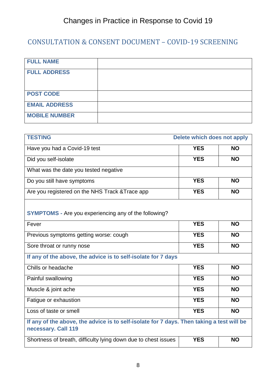## <span id="page-7-0"></span>CONSULTATION & CONSENT DOCUMENT – COVID-19 SCREENING

| <b>FULL NAME</b>     |  |
|----------------------|--|
| <b>FULL ADDRESS</b>  |  |
|                      |  |
|                      |  |
| <b>POST CODE</b>     |  |
| <b>EMAIL ADDRESS</b> |  |
|                      |  |
| <b>MOBILE NUMBER</b> |  |
|                      |  |

| <b>TESTING</b><br>Delete which does not apply                                                                    |            |           |  |  |  |
|------------------------------------------------------------------------------------------------------------------|------------|-----------|--|--|--|
| Have you had a Covid-19 test                                                                                     | <b>YES</b> | <b>NO</b> |  |  |  |
| Did you self-isolate                                                                                             | <b>YES</b> | <b>NO</b> |  |  |  |
| What was the date you tested negative                                                                            |            |           |  |  |  |
| Do you still have symptoms                                                                                       | <b>YES</b> | <b>NO</b> |  |  |  |
| Are you registered on the NHS Track & Trace app                                                                  | <b>YES</b> | <b>NO</b> |  |  |  |
| <b>SYMPTOMS</b> - Are you experiencing any of the following?                                                     |            |           |  |  |  |
| Fever                                                                                                            | <b>YES</b> | <b>NO</b> |  |  |  |
| Previous symptoms getting worse: cough                                                                           | <b>YES</b> | <b>NO</b> |  |  |  |
| Sore throat or runny nose                                                                                        | <b>YES</b> | <b>NO</b> |  |  |  |
| If any of the above, the advice is to self-isolate for 7 days                                                    |            |           |  |  |  |
| Chills or headache                                                                                               | <b>YES</b> | <b>NO</b> |  |  |  |
| Painful swallowing                                                                                               | <b>YES</b> | <b>NO</b> |  |  |  |
| Muscle & joint ache                                                                                              | <b>YES</b> | <b>NO</b> |  |  |  |
| Fatigue or exhaustion                                                                                            | <b>YES</b> | <b>NO</b> |  |  |  |
| Loss of taste or smell                                                                                           | <b>YES</b> | <b>NO</b> |  |  |  |
| If any of the above, the advice is to self-isolate for 7 days. Then taking a test will be<br>necessary. Call 119 |            |           |  |  |  |
| Shortness of breath, difficulty lying down due to chest issues                                                   | <b>YES</b> | <b>NO</b> |  |  |  |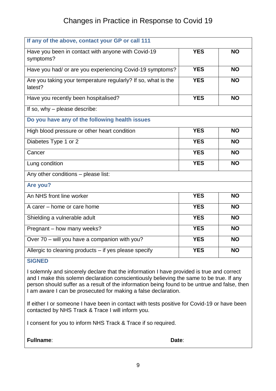| If any of the above, contact your GP or call 111                         |            |           |
|--------------------------------------------------------------------------|------------|-----------|
| Have you been in contact with anyone with Covid-19<br>symptoms?          | <b>YES</b> | <b>NO</b> |
| Have you had/ or are you experiencing Covid-19 symptoms?                 | <b>YES</b> | <b>NO</b> |
| Are you taking your temperature regularly? If so, what is the<br>latest? | <b>YES</b> | <b>NO</b> |
| Have you recently been hospitalised?                                     | <b>YES</b> | <b>NO</b> |
| If so, why - please describe:                                            |            |           |
| Do you have any of the following health issues                           |            |           |
| High blood pressure or other heart condition                             | <b>YES</b> | <b>NO</b> |
| Diabetes Type 1 or 2                                                     | <b>YES</b> | <b>NO</b> |
| Cancer                                                                   | <b>YES</b> | <b>NO</b> |
| Lung condition                                                           | <b>YES</b> | <b>NO</b> |
| Any other conditions - please list:                                      |            |           |
| Are you?                                                                 |            |           |
| An NHS front line worker                                                 | <b>YES</b> | <b>NO</b> |
| A carer - home or care home                                              | <b>YES</b> | <b>NO</b> |
| Shielding a vulnerable adult                                             | <b>YES</b> | <b>NO</b> |
| Pregnant - how many weeks?                                               | <b>YES</b> | <b>NO</b> |
| Over 70 - will you have a companion with you?                            | <b>YES</b> | <b>NO</b> |
| Allergic to cleaning products - if yes please specify                    | <b>YES</b> | <b>NO</b> |

#### **SIGNED**

I solemnly and sincerely declare that the information I have provided is true and correct and I make this solemn declaration conscientiously believing the same to be true. If any person should suffer as a result of the information being found to be untrue and false, then I am aware I can be prosecuted for making a false declaration.

If either I or someone I have been in contact with tests positive for Covid-19 or have been contacted by NHS Track & Trace I will inform you.

I consent for you to inform NHS Track & Trace if so required.

**Fullname**: **Date**: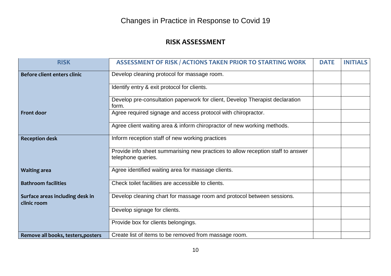## **RISK ASSESSMENT**

<span id="page-9-0"></span>

| <b>RISK</b>                                    | ASSESSMENT OF RISK / ACTIONS TAKEN PRIOR TO STARTING WORK                                             | <b>DATE</b> | <b>INITIALS</b> |
|------------------------------------------------|-------------------------------------------------------------------------------------------------------|-------------|-----------------|
| Before client enters clinic                    | Develop cleaning protocol for massage room.                                                           |             |                 |
|                                                | Identify entry & exit protocol for clients.                                                           |             |                 |
|                                                | Develop pre-consultation paperwork for client, Develop Therapist declaration<br>form.                 |             |                 |
| <b>Front door</b>                              | Agree required signage and access protocol with chiropractor.                                         |             |                 |
|                                                | Agree client waiting area & inform chiropractor of new working methods.                               |             |                 |
| <b>Reception desk</b>                          | Inform reception staff of new working practices                                                       |             |                 |
|                                                | Provide info sheet summarising new practices to allow reception staff to answer<br>telephone queries. |             |                 |
| <b>Waiting area</b>                            | Agree identified waiting area for massage clients.                                                    |             |                 |
| <b>Bathroom facilities</b>                     | Check toilet facilities are accessible to clients.                                                    |             |                 |
| Surface areas including desk in<br>clinic room | Develop cleaning chart for massage room and protocol between sessions.                                |             |                 |
|                                                | Develop signage for clients.                                                                          |             |                 |
|                                                | Provide box for clients belongings.                                                                   |             |                 |
| Remove all books, testers, posters             | Create list of items to be removed from massage room.                                                 |             |                 |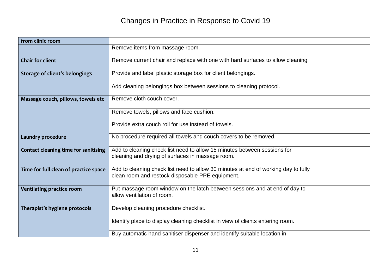| from clinic room                            |                                                                                                                                        |  |
|---------------------------------------------|----------------------------------------------------------------------------------------------------------------------------------------|--|
|                                             | Remove items from massage room.                                                                                                        |  |
| <b>Chair for client</b>                     | Remove current chair and replace with one with hard surfaces to allow cleaning.                                                        |  |
| Storage of client's belongings              | Provide and label plastic storage box for client belongings.                                                                           |  |
|                                             | Add cleaning belongings box between sessions to cleaning protocol.                                                                     |  |
| Massage couch, pillows, towels etc          | Remove cloth couch cover.                                                                                                              |  |
|                                             | Remove towels, pillows and face cushion.                                                                                               |  |
|                                             | Provide extra couch roll for use instead of towels.                                                                                    |  |
| <b>Laundry procedure</b>                    | No procedure required all towels and couch covers to be removed.                                                                       |  |
| <b>Contact cleaning time for sanitising</b> | Add to cleaning check list need to allow 15 minutes between sessions for<br>cleaning and drying of surfaces in massage room.           |  |
| Time for full clean of practice space       | Add to cleaning check list need to allow 30 minutes at end of working day to fully<br>clean room and restock disposable PPE equipment. |  |
| <b>Ventilating practice room</b>            | Put massage room window on the latch between sessions and at end of day to<br>allow ventilation of room.                               |  |
| Therapist's hygiene protocols               | Develop cleaning procedure checklist.                                                                                                  |  |
|                                             | Identify place to display cleaning checklist in view of clients entering room.                                                         |  |
|                                             | Buy automatic hand sanitiser dispenser and identify suitable location in                                                               |  |